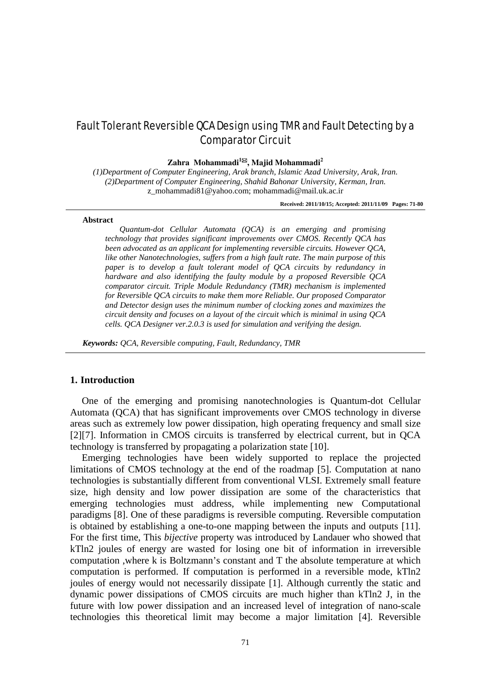# Fault Tolerant Reversible QCA Design using TMR and Fault Detecting by a Comparator Circuit

#### **Zahra Mohammadi1, Majid Mohammadi<sup>2</sup>**

*(1)Department of Computer Engineering, Arak branch, Islamic Azad University, Arak, Iran. (2)Department of Computer Engineering, Shahid Bahonar University, Kerman, Iran.* z\_mohammadi81@yahoo.com; mohammadi@mail.uk.ac.ir

**Received: 2011/10/15; Accepted: 2011/11/09 Pages: 71-80**

#### **Abstract**

*Quantum-dot Cellular Automata (QCA) is an emerging and promising technology that provides significant improvements over CMOS. Recently QCA has been advocated as an applicant for implementing reversible circuits. However QCA, like other Nanotechnologies, suffers from a high fault rate. The main purpose of this paper is to develop a fault tolerant model of QCA circuits by redundancy in hardware and also identifying the faulty module by a proposed Reversible QCA comparator circuit. Triple Module Redundancy (TMR) mechanism is implemented for Reversible QCA circuits to make them more Reliable. Our proposed Comparator and Detector design uses the minimum number of clocking zones and maximizes the circuit density and focuses on a layout of the circuit which is minimal in using QCA cells. QCA Designer ver.2.0.3 is used for simulation and verifying the design.*

*Keywords: QCA, Reversible computing, Fault, Redundancy, TMR*

#### **1. Introduction**

One of the emerging and promising nanotechnologies is Quantum-dot Cellular Automata (QCA) that has significant improvements over CMOS technology in diverse areas such as extremely low power dissipation, high operating frequency and small size [2][7]. Information in CMOS circuits is transferred by electrical current, but in QCA technology is transferred by propagating a polarization state [10].

Emerging technologies have been widely supported to replace the projected limitations of CMOS technology at the end of the roadmap [5]. Computation at nano technologies is substantially different from conventional VLSI. Extremely small feature size, high density and low power dissipation are some of the characteristics that emerging technologies must address, while implementing new Computational paradigms [8]. One of these paradigms is reversible computing. Reversible computation is obtained by establishing a one-to-one mapping between the inputs and outputs [11]. For the first time, This *bijective* property was introduced by Landauer who showed that kTln2 joules of energy are wasted for losing one bit of information in irreversible computation ,where k is Boltzmann's constant and T the absolute temperature at which computation is performed. If computation is performed in a reversible mode, kTln2 joules of energy would not necessarily dissipate [1]. Although currently the static and dynamic power dissipations of CMOS circuits are much higher than kTln2 J, in the future with low power dissipation and an increased level of integration of nano-scale technologies this theoretical limit may become a major limitation [4]. Reversible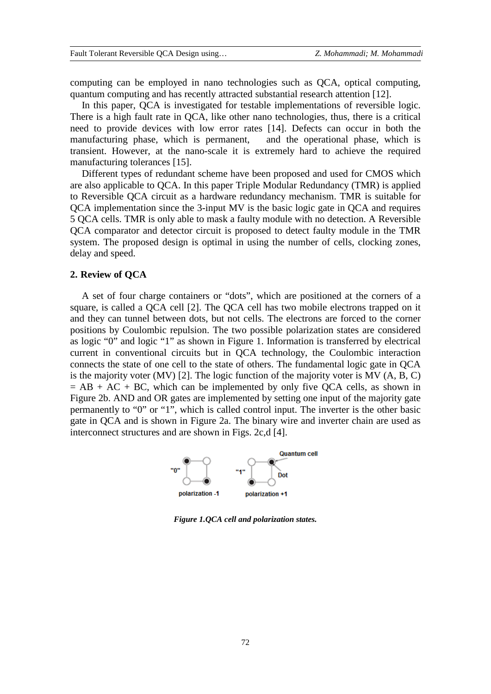computing can be employed in nano technologies such as QCA, optical computing, quantum computing and has recently attracted substantial research attention [12].

In this paper, QCA is investigated for testable implementations of reversible logic. There is a high fault rate in QCA, like other nano technologies, thus, there is a critical need to provide devices with low error rates [14]. Defects can occur in both the manufacturing phase, which is permanent, and the operational phase, which is transient. However, at the nano-scale it is extremely hard to achieve the required manufacturing tolerances [15].

Different types of redundant scheme have been proposed and used for CMOS which are also applicable to QCA. In this paper Triple Modular Redundancy (TMR) is applied to Reversible QCA circuit as a hardware redundancy mechanism. TMR is suitable for QCA implementation since the 3-input MV is the basic logic gate in QCA and requires 5 QCA cells. TMR is only able to mask a faulty module with no detection. A Reversible QCA comparator and detector circuit is proposed to detect faulty module in the TMR system. The proposed design is optimal in using the number of cells, clocking zones, delay and speed.

## **2. Review of QCA**

A set of four charge containers or "dots", which are positioned at the corners of a square, is called a QCA cell [2]. The QCA cell has two mobile electrons trapped on it and they can tunnel between dots, but not cells. The electrons are forced to the corner positions by Coulombic repulsion. The two possible polarization states are considered as logic "0" and logic "1" as shown in Figure 1. Information is transferred by electrical current in conventional circuits but in QCA technology, the Coulombic interaction connects the state of one cell to the state of others. The fundamental logic gate in QCA is the majority voter (MV) [2]. The logic function of the majority voter is MV (A, B, C)  $= AB + AC + BC$ , which can be implemented by only five QCA cells, as shown in Figure 2b. AND and OR gates are implemented by setting one input of the majority gate permanently to "0" or "1", which is called control input. The inverter is the other basic gate in QCA and is shown in Figure 2a. The binary wire and inverter chain are used as interconnect structures and are shown in Figs. 2c,d [4].



*Figure 1.QCA cell and polarization states.*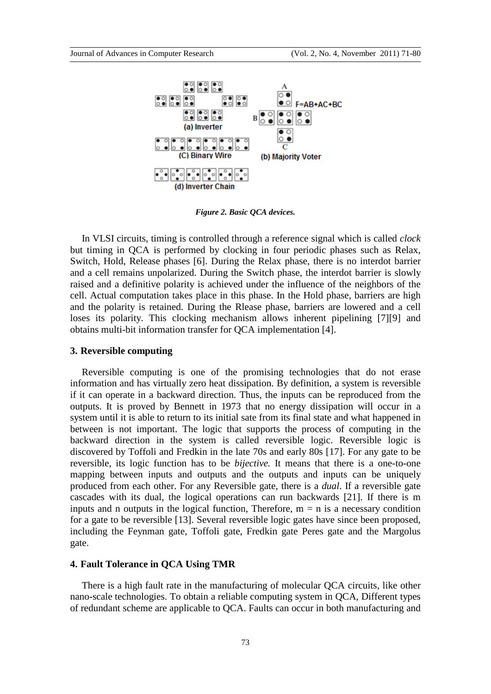

*Figure 2. Basic QCA devices.*

In VLSI circuits, timing is controlled through a reference signal which is called *clock* but timing in QCA is performed by clocking in four periodic phases such as Relax, Switch, Hold, Release phases [6]. During the Relax phase, there is no interdot barrier and a cell remains unpolarized. During the Switch phase, the interdot barrier is slowly raised and a definitive polarity is achieved under the influence of the neighbors of the cell. Actual computation takes place in this phase. In the Hold phase, barriers are high and the polarity is retained. During the Rlease phase, barriers are lowered and a cell loses its polarity. This clocking mechanism allows inherent pipelining [7][9] and obtains multi-bit information transfer for QCA implementation [4].

#### **3. Reversible computing**

Reversible computing is one of the promising technologies that do not erase information and has virtually zero heat dissipation. By definition, a system is reversible if it can operate in a backward direction. Thus, the inputs can be reproduced from the outputs. It is proved by Bennett in 1973 that no energy dissipation will occur in a system until it is able to return to its initial sate from its final state and what happened in between is not important. The logic that supports the process of computing in the backward direction in the system is called reversible logic. Reversible logic is discovered by Toffoli and Fredkin in the late 70s and early 80s [17]. For any gate to be reversible, its logic function has to be *bijective.* It means that there is a one-to-one mapping between inputs and outputs and the outputs and inputs can be uniquely produced from each other. For any Reversible gate, there is a *dual*. If a reversible gate cascades with its dual, the logical operations can run backwards [21]. If there is m inputs and n outputs in the logical function, Therefore,  $m = n$  is a necessary condition for a gate to be reversible [13]. Several reversible logic gates have since been proposed, including the Feynman gate, Toffoli gate, Fredkin gate Peres gate and the Margolus gate.

#### **4. Fault Tolerance in QCA Using TMR**

There is a high fault rate in the manufacturing of molecular QCA circuits, like other nano-scale technologies. To obtain a reliable computing system in QCA, Different types of redundant scheme are applicable to QCA. Faults can occur in both manufacturing and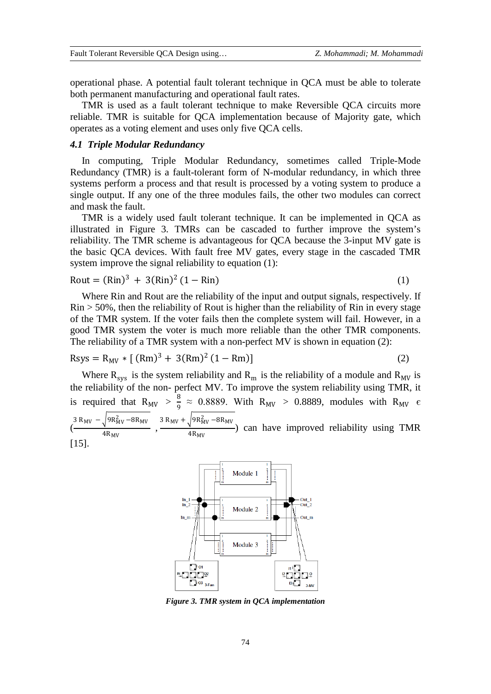operational phase. A potential fault tolerant technique in QCA must be able to tolerate both permanent manufacturing and operational fault rates.

TMR is used as a fault tolerant technique to make Reversible QCA circuits more reliable. TMR is suitable for QCA implementation because of Majority gate, which operates as a voting element and uses only five QCA cells.

## *4.1 Triple Modular Redundancy*

[15].

In [computing,](http://en.wikipedia.org/wiki/Computing) Triple Modular Redundancy, sometimes called Triple-Mode Redundancy (TMR) is a [fault-tolerant](http://en.wikipedia.org/wiki/Fault-tolerant) form of [N-modular redundancy,](http://en.wikipedia.org/w/index.php?title=N-modular_redundancy&action=edit&redlink=1) in which three systems perform a process and that result is processed by a voting system to produce a single output. If any one of the three modules fails, the other two modules can correct and mask the fault.

TMR is a widely used fault tolerant technique. It can be implemented in QCA as illustrated in Figure 3. TMRs can be cascaded to further improve the system's reliability. The TMR scheme is advantageous for QCA because the 3-input MV gate is the basic QCA devices. With fault free MV gates, every stage in the cascaded TMR system improve the signal reliability to equation (1):

$$
Rout = (Rin)3 + 3(Rin)2 (1 - Rin)
$$
 (1)

Where Rin and Rout are the reliability of the input and output signals, respectively. If  $\mathrm{Rin} > 50\%$ , then the reliability of Rout is higher than the reliability of  $\mathrm{Rin}$  in every stage of the TMR system. If the voter fails then the complete system will fail. However, in a good TMR system the voter is much more [reliable](http://en.wikipedia.org/wiki/Reliability_engineering) than the other TMR components. The reliability of a TMR system with a non-perfect MV is shown in equation (2):

$$
Rsys = R_{MV} * [(Rm)3 + 3(Rm)2 (1 - Rm)]
$$
 (2)

Where  $R_{sys}$  is the system reliability and  $R_m$  is the reliability of a module and  $R_{MV}$  is the reliability of the non- perfect MV. To improve the system reliability using TMR, it is required that  $R_{MV} > \frac{8}{9} \approx 0.8889$ . With  $R_{MV} > 0.8889$ , modules with  $R_{MV} \in$ 9  $\left(\frac{3 \text{ R}_{\text{MV}} - \sqrt{9 \text{R}_{\text{MV}}^2 - 8 \text{R}_{\text{MV}}}}{4 \text{R}}\right)$  $\frac{\sqrt{9R_{MV}^2 - 8R_{MV}}}{4R_{MV}}$ ,  $\frac{3 R_{MV} + \sqrt{9R_{MV}^2 - 8R_{MV}}}{4R_{MV}}$  $\frac{N_{\text{H}}}{4R_{\text{MV}}}$  can have improved reliability using TMR



*Figure 3. TMR system in QCA implementation*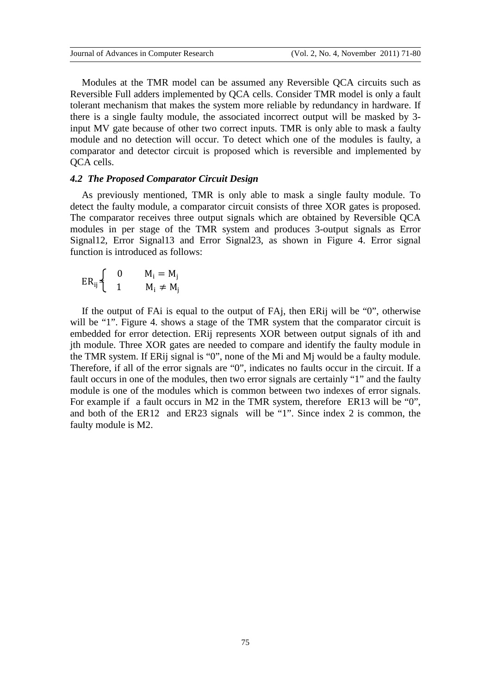Modules at the TMR model can be assumed any Reversible QCA circuits such as Reversible Full adders implemented by QCA cells. Consider TMR model is only a fault tolerant mechanism that makes the system more reliable by redundancy in hardware. If there is a single faulty module, the associated incorrect output will be masked by 3 input MV gate because of other two correct inputs. TMR is only able to mask a faulty module and no detection will occur. To detect which one of the modules is faulty, a comparator and detector circuit is proposed which is reversible and implemented by QCA cells.

#### *4.2 The Proposed Comparator Circuit Design*

As previously mentioned, TMR is only able to mask a single faulty module. To detect the faulty module, a comparator circuit consists of three XOR gates is proposed. The comparator receives three output signals which are obtained by Reversible QCA modules in per stage of the TMR system and produces 3-output signals as Error Signal12, Error Signal13 and Error Signal23, as shown in Figure 4. Error signal function is introduced as follows:

$$
ER_{ij}\begin{cases} & 0 \\ & 1 \end{cases} \qquad \begin{array}{c} M_i = M_j \\ M_i \neq M_j \end{array}
$$

If the output of FAi is equal to the output of FAj, then ERij will be "0", otherwise will be "1". Figure 4. shows a stage of the TMR system that the comparator circuit is embedded for error detection. ERij represents XOR between output signals of ith and jth module. Three XOR gates are needed to compare and identify the faulty module in the TMR system. If ERij signal is "0", none of the Mi and Mj would be a faulty module. Therefore, if all of the error signals are "0", indicates no faults occur in the circuit. If a fault occurs in one of the modules, then two error signals are certainly "1" and the faulty module is one of the modules which is common between two indexes of error signals. For example if a fault occurs in M2 in the TMR system, therefore ER13 will be "0". and both of the ER12 and ER23 signals will be "1". Since index 2 is common, the faulty module is M2.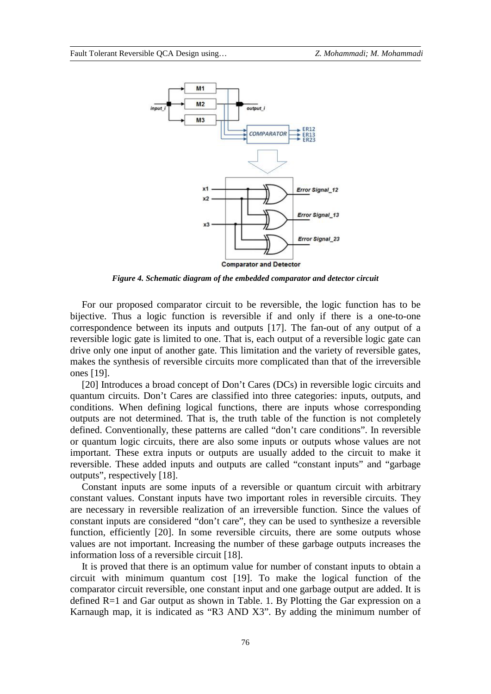

*Figure 4. Schematic diagram of the embedded comparator and detector circuit*

For our proposed comparator circuit to be reversible, the logic function has to be bijective. Thus a logic function is reversible if and only if there is a one-to-one correspondence between its inputs and outputs [17]. The fan-out of any output of a reversible logic gate is limited to one. That is, each output of a reversible logic gate can drive only one input of another gate. This limitation and the variety of reversible gates, makes the synthesis of reversible circuits more complicated than that of the irreversible ones [19].

[20] Introduces a broad concept of Don't Cares (DCs) in reversible logic circuits and quantum circuits. Don't Cares are classified into three categories: inputs, outputs, and conditions. When defining logical functions, there are inputs whose corresponding outputs are not determined. That is, the truth table of the function is not completely defined. Conventionally, these patterns are called "don't care conditions". In reversible or quantum logic circuits, there are also some inputs or outputs whose values are not important. These extra inputs or outputs are usually added to the circuit to make it reversible. These added inputs and outputs are called "constant inputs" and "garbage outputs", respectively [18].

Constant inputs are some inputs of a reversible or quantum circuit with arbitrary constant values. Constant inputs have two important roles in reversible circuits. They are necessary in reversible realization of an irreversible function. Since the values of constant inputs are considered "don't care", they can be used to synthesize a reversible function, efficiently [20]. In some reversible circuits, there are some outputs whose values are not important. Increasing the number of these garbage outputs increases the information loss of a reversible circuit [18].

It is proved that there is an optimum value for number of constant inputs to obtain a circuit with minimum quantum cost [19]. To make the logical function of the comparator circuit reversible, one constant input and one garbage output are added. It is defined R=1 and Gar output as shown in Table. 1. By Plotting the Gar expression on a Karnaugh map, it is indicated as "R3 AND X3". By adding the minimum number of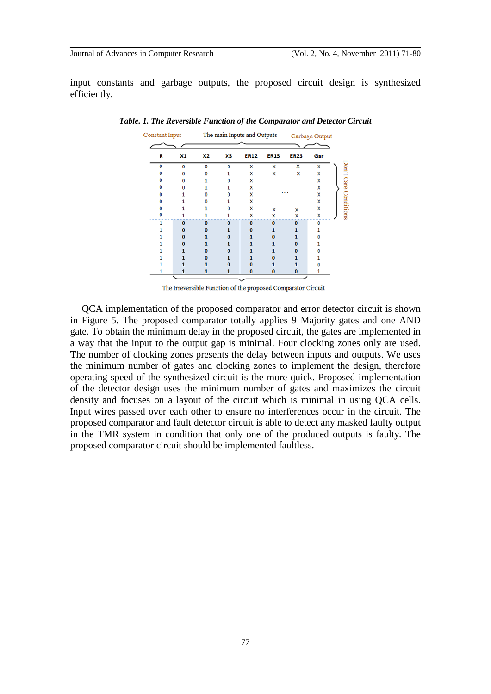input constants and garbage outputs, the proposed circuit design is synthesized efficiently.

| Constant Input |          | The main Inputs and Outputs |          |             |             | Garbage Output |     |  |
|----------------|----------|-----------------------------|----------|-------------|-------------|----------------|-----|--|
| R              | X1       | X2                          | xз       | <b>ER12</b> | <b>ER13</b> | <b>ER23</b>    | Gar |  |
| 0              | 0        | 0                           | 0        | X           | x           | x              | x   |  |
|                |          |                             |          | X           | x           | X              | x   |  |
|                |          |                             |          | x           |             |                | X   |  |
|                |          |                             |          | x           |             |                | x   |  |
|                |          |                             |          | x           |             | .              | x   |  |
|                |          |                             |          | x           |             |                | x   |  |
|                |          |                             |          | x           | x           | x              | X   |  |
|                |          |                             |          | X           | x           | X              | X   |  |
|                | $\Omega$ | $\Omega$                    | $\Omega$ | $\Omega$    | $\Omega$    | O              | O   |  |
|                |          |                             |          |             |             |                |     |  |
|                |          |                             |          |             |             |                |     |  |
|                |          |                             |          |             |             |                |     |  |
|                |          |                             |          |             |             |                |     |  |
|                |          |                             |          |             |             |                |     |  |
|                |          |                             |          |             |             |                |     |  |
|                |          |                             |          | 0           | 0           | $\bf{0}$       |     |  |

*Table. 1. The Reversible Function of the Comparator and Detector Circuit*

The Irreversible Function of the proposed Comparator Circuit

QCA implementation of the proposed comparator and error detector circuit is shown in Figure 5. The proposed comparator totally applies 9 Majority gates and one AND gate. To obtain the minimum delay in the proposed circuit, the gates are implemented in a way that the input to the output gap is minimal. Four clocking zones only are used. The number of clocking zones presents the delay between inputs and outputs. We uses the minimum number of gates and clocking zones to implement the design, therefore operating speed of the synthesized circuit is the more quick. Proposed implementation of the detector design uses the minimum number of gates and maximizes the circuit density and focuses on a layout of the circuit which is minimal in using QCA cells. Input wires passed over each other to ensure no interferences occur in the circuit. The proposed comparator and fault detector circuit is able to detect any masked faulty output in the TMR system in condition that only one of the produced outputs is faulty. The proposed comparator circuit should be implemented faultless.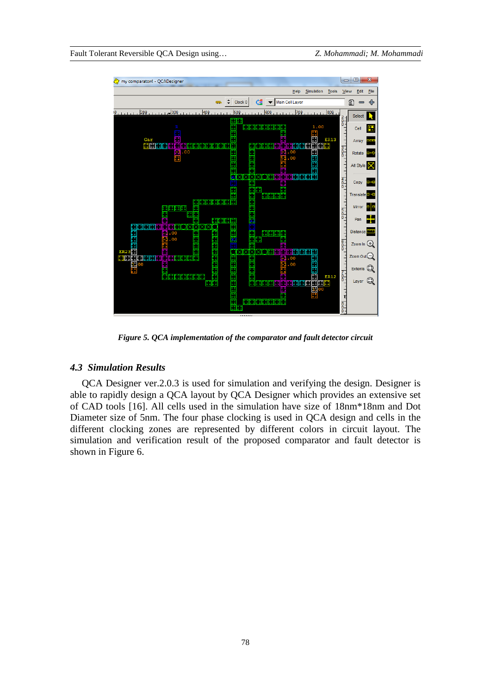

*Figure 5. QCA implementation of the comparator and fault detector circuit*

#### *4.3 Simulation Results*

QCA Designer ver.2.0.3 is used for simulation and verifying the design. Designer is able to rapidly design a QCA layout by QCA Designer which provides an extensive set of CAD tools [16]. All cells used in the simulation have size of 18nm\*18nm and Dot Diameter size of 5nm. The four phase clocking is used in QCA design and cells in the different clocking zones are represented by different colors in circuit layout. The simulation and verification result of the proposed comparator and fault detector is shown in Figure 6.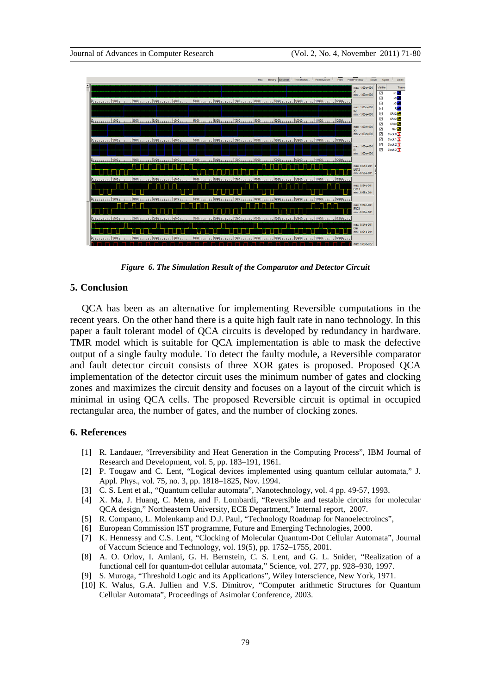

*Figure 6. The Simulation Result of the Comparator and Detector Circuit*

## **5. Conclusion**

QCA has been as an alternative for implementing Reversible computations in the recent years. On the other hand there is a quite high fault rate in nano technology. In this paper a fault tolerant model of QCA circuits is developed by redundancy in hardware. TMR model which is suitable for QCA implementation is able to mask the defective output of a single faulty module. To detect the faulty module, a Reversible comparator and fault detector circuit consists of three XOR gates is proposed. Proposed QCA implementation of the detector circuit uses the minimum number of gates and clocking zones and maximizes the circuit density and focuses on a layout of the circuit which is minimal in using QCA cells. The proposed Reversible circuit is optimal in occupied rectangular area, the number of gates, and the number of clocking zones.

#### **6. References**

- [1] R. Landauer, "Irreversibility and Heat Generation in the Computing Process", IBM Journal of Research and Development, vol. 5, pp. 183–191, 1961.
- [2] P. Tougaw and C. Lent, "Logical devices implemented using quantum cellular automata," J. Appl. Phys., vol. 75, no. 3, pp. 1818–1825, Nov. 1994.
- [3] C. S. Lent et al., "Quantum cellular automata", Nanotechnology, vol. 4 pp. 49-57, 1993.
- [4] X. Ma, J. Huang, C. Metra, and F. Lombardi, "Reversible and testable circuits for molecular QCA design," Northeastern University, ECE Department," Internal report, 2007.
- [5] R. Compano, L. Molenkamp and D.J. Paul, "Technology Roadmap for Nanoelectroincs",
- [6] European Commission IST programme, Future and Emerging Technologies, 2000.
- [7] K. Hennessy and C.S. Lent, "Clocking of Molecular Quantum-Dot Cellular Automata", Journal of Vaccum Science and Technology, vol. 19(5), pp. 1752–1755, 2001.
- [8] A. O. Orlov, I. Amlani, G. H. Bernstein, C. S. Lent, and G. L. Snider, "Realization of a functional cell for quantum-dot cellular automata," Science, vol. 277, pp. 928–930, 1997.
- [9] S. Muroga, "Threshold Logic and its Applications", Wiley Interscience, New York, 1971.
- [10] K. Walus, G.A. Jullien and V.S. Dimitrov, "Computer arithmetic Structures for Quantum Cellular Automata", Proceedings of Asimolar Conference, 2003.